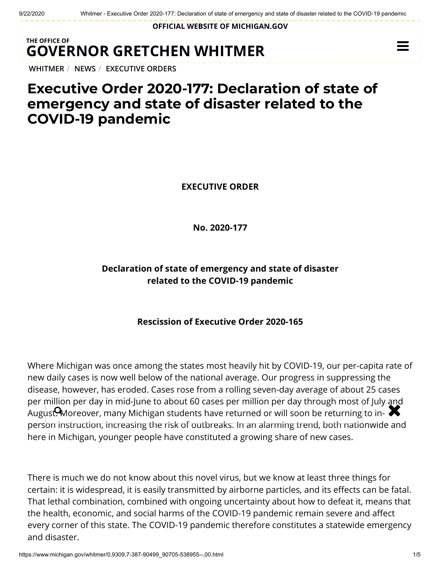**OFFICIAL WEBSITE OF [MICHIGAN.GOV](https://www.michigan.gov/)**

## **THE OFFICE OF GOVERNOR [GRETCHEN WHITMER](https://www.michigan.gov/whitmer/)**

**[WHITMER](https://www.michigan.gov/whitmer/)** / **[NEWS](https://www.michigan.gov/whitmer/0,9309,7-387-90499---,00.html)** / **[EXECUTIVE ORDERS](https://www.michigan.gov/whitmer/0,9309,7-387-90499_90705---,00.html)**

# **Executive Order 2020-177: Declaration of state of emergency and state of disaster related to the COVID-19 pandemic**

**EXECUTIVE ORDER**

**No. 2020-177**

## **Declaration of state of emergency and state of disaster related to the COVID-19 pandemic**

### **Rescission of Executive Order 2020-165**

Where Michigan was once among the states most heavily hit by COVID-19, our per-capita rate of new daily cases is now well below of the national average. Our progress in suppressing the disease, however, has eroded. Cases rose from a rolling seven-day average of about 25 cases per million per day in mid-June to about 60 cases per million per day through most of July and per million per day in mid-june to about 60 cases per million per day trirough most or july and<br>August Moreover, many Michigan students have returned or will soon be returning to inperson instruction, increasing the risk of outbreaks. In an alarming trend, both nationwide and here in Michigan, younger people have constituted a growing share of new cases.

There is much we do not know about this novel virus, but we know at least three things for certain: it is widespread, it is easily transmitted by airborne particles, and its effects can be fatal. That lethal combination, combined with ongoing uncertainty about how to defeat it, means that the health, economic, and social harms of the COVID-19 pandemic remain severe and affect every corner of this state. The COVID-19 pandemic therefore constitutes a statewide emergency and disaster.

 $\equiv$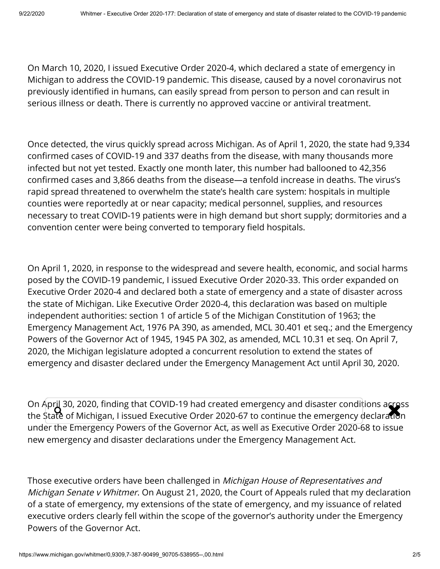On March 10, 2020, I issued Executive Order 2020-4, which declared a state of emergency in Michigan to address the COVID-19 pandemic. This disease, caused by a novel coronavirus not previously identified in humans, can easily spread from person to person and can result in serious illness or death. There is currently no approved vaccine or antiviral treatment.

Once detected, the virus quickly spread across Michigan. As of April 1, 2020, the state had 9,334 confirmed cases of COVID-19 and 337 deaths from the disease, with many thousands more infected but not yet tested. Exactly one month later, this number had ballooned to 42,356 confirmed cases and 3,866 deaths from the disease—a tenfold increase in deaths. The virus's rapid spread threatened to overwhelm the state's health care system: hospitals in multiple counties were reportedly at or near capacity; medical personnel, supplies, and resources necessary to treat COVID-19 patients were in high demand but short supply; dormitories and a convention center were being converted to temporary field hospitals.

On April 1, 2020, in response to the widespread and severe health, economic, and social harms posed by the COVID-19 pandemic, I issued Executive Order 2020-33. This order expanded on Executive Order 2020-4 and declared both a state of emergency and a state of disaster across the state of Michigan. Like Executive Order 2020-4, this declaration was based on multiple independent authorities: section 1 of article 5 of the Michigan Constitution of 1963; the Emergency Management Act, 1976 PA 390, as amended, MCL 30.401 et seq.; and the Emergency Powers of the Governor Act of 1945, 1945 PA 302, as amended, MCL 10.31 et seq. On April 7, 2020, the Michigan legislature adopted a concurrent resolution to extend the states of emergency and disaster declared under the Emergency Management Act until April 30, 2020.

On April 30, 2020, finding that COVID-19 had created emergency and disaster conditions across On April 30, 2020, finding that COVID-19 had created emergency and disaster conditions across<br>the State of Michigan, I issued Executive Order 2020-67 to continue the emergency declaration under the Emergency Powers of the Governor Act, as well as Executive Order 2020-68 to issue new emergency and disaster declarations under the Emergency Management Act.

Those executive orders have been challenged in *Michigan House of Representatives and* Michigan Senate v Whitmer. On August 21, 2020, the Court of Appeals ruled that my declaration of a state of emergency, my extensions of the state of emergency, and my issuance of related executive orders clearly fell within the scope of the governor's authority under the Emergency Powers of the Governor Act.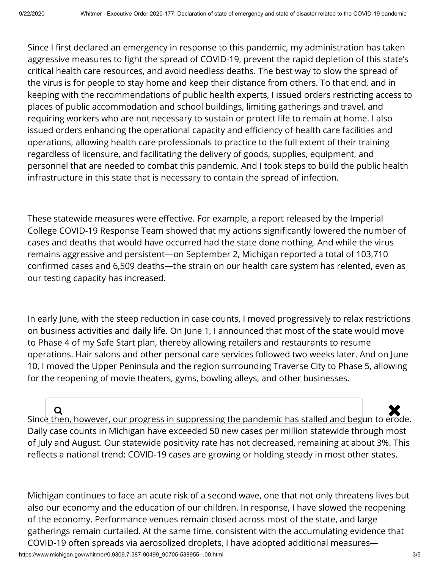Since I first declared an emergency in response to this pandemic, my administration has taken aggressive measures to fight the spread of COVID-19, prevent the rapid depletion of this state's critical health care resources, and avoid needless deaths. The best way to slow the spread of the virus is for people to stay home and keep their distance from others. To that end, and in keeping with the recommendations of public health experts, I issued orders restricting access to places of public accommodation and school buildings, limiting gatherings and travel, and requiring workers who are not necessary to sustain or protect life to remain at home. I also issued orders enhancing the operational capacity and efficiency of health care facilities and operations, allowing health care professionals to practice to the full extent of their training regardless of licensure, and facilitating the delivery of goods, supplies, equipment, and personnel that are needed to combat this pandemic. And I took steps to build the public health infrastructure in this state that is necessary to contain the spread of infection.

These statewide measures were effective. For example, a report released by the Imperial College COVID-19 Response Team showed that my actions signicantly lowered the number of cases and deaths that would have occurred had the state done nothing. And while the virus remains aggressive and persistent—on September 2, Michigan reported a total of 103,710 confirmed cases and 6,509 deaths—the strain on our health care system has relented, even as our testing capacity has increased.

In early June, with the steep reduction in case counts, I moved progressively to relax restrictions on business activities and daily life. On June 1, I announced that most of the state would move to Phase 4 of my Safe Start plan, thereby allowing retailers and restaurants to resume operations. Hair salons and other personal care services followed two weeks later. And on June 10, I moved the Upper Peninsula and the region surrounding Traverse City to Phase 5, allowing for the reopening of movie theaters, gyms, bowling alleys, and other businesses.

 $\overline{\mathbf{Q}}$ <br>Since then, however, our progress in suppressing the pandemic has stalled and begun to erode. Daily case counts in Michigan have exceeded 50 new cases per million statewide through most of July and August. Our statewide positivity rate has not decreased, remaining at about 3%. This reflects a national trend: COVID-19 cases are growing or holding steady in most other states.

Michigan continues to face an acute risk of a second wave, one that not only threatens lives but also our economy and the education of our children. In response, I have slowed the reopening of the economy. Performance venues remain closed across most of the state, and large gatherings remain curtailed. At the same time, consistent with the accumulating evidence that COVID-19 often spreads via aerosolized droplets, I have adopted additional measures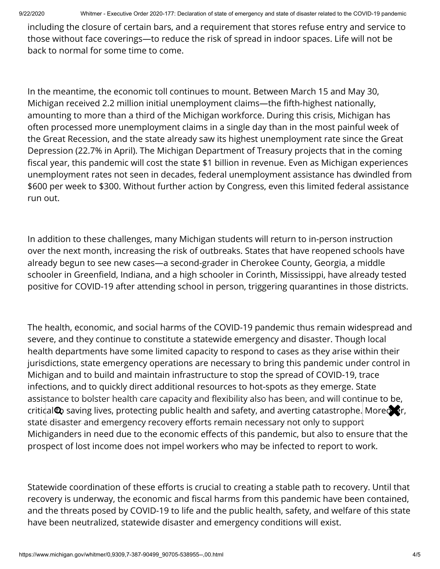9/22/2020 Whitmer - Executive Order 2020-177: Declaration of state of emergency and state of disaster related to the COVID-19 pandemic

including the closure of certain bars, and a requirement that stores refuse entry and service to those without face coverings—to reduce the risk of spread in indoor spaces. Life will not be back to normal for some time to come.

In the meantime, the economic toll continues to mount. Between March 15 and May 30, Michigan received 2.2 million initial unemployment claims—the fifth-highest nationally, amounting to more than a third of the Michigan workforce. During this crisis, Michigan has often processed more unemployment claims in a single day than in the most painful week of the Great Recession, and the state already saw its highest unemployment rate since the Great Depression (22.7% in April). The Michigan Department of Treasury projects that in the coming fiscal year, this pandemic will cost the state \$1 billion in revenue. Even as Michigan experiences unemployment rates not seen in decades, federal unemployment assistance has dwindled from \$600 per week to \$300. Without further action by Congress, even this limited federal assistance run out.

In addition to these challenges, many Michigan students will return to in-person instruction over the next month, increasing the risk of outbreaks. States that have reopened schools have already begun to see new cases—a second-grader in Cherokee County, Georgia, a middle schooler in Greenfield, Indiana, and a high schooler in Corinth, Mississippi, have already tested positive for COVID-19 after attending school in person, triggering quarantines in those districts.

The health, economic, and social harms of the COVID-19 pandemic thus remain widespread and severe, and they continue to constitute a statewide emergency and disaster. Though local health departments have some limited capacity to respond to cases as they arise within their jurisdictions, state emergency operations are necessary to bring this pandemic under control in Michigan and to build and maintain infrastructure to stop the spread of COVID-19, trace infections, and to quickly direct additional resources to hot-spots as they emerge. State assistance to bolster health care capacity and flexibility also has been, and will continue to be, critical **Q** saving lives, protecting public health and safety, and averting catastrophe. Moreover, state disaster and emergency recovery efforts remain necessary not only to support Michiganders in need due to the economic effects of this pandemic, but also to ensure that the prospect of lost income does not impel workers who may be infected to report to work.

Statewide coordination of these efforts is crucial to creating a stable path to recovery. Until that recovery is underway, the economic and fiscal harms from this pandemic have been contained, and the threats posed by COVID-19 to life and the public health, safety, and welfare of this state have been neutralized, statewide disaster and emergency conditions will exist.